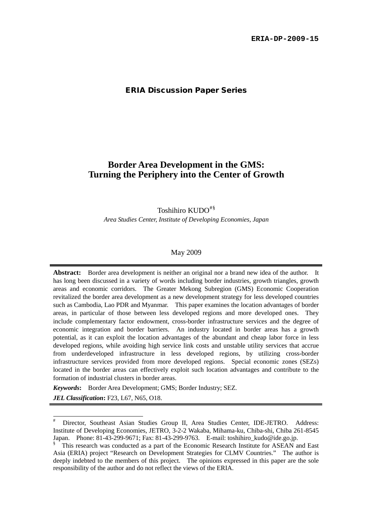## ERIA Discussion Paper Series

## **Border Area Development in the GMS: Turning the Periphery into the Center of Growth**

Toshihiro KUDO<sup>[#](#page-0-0)[§](#page-0-1)</sup>

*Area Studies Center, Institute of Developing Economies, Japan*

#### May 2009

**Abstract:** Border area development is neither an original nor a brand new idea of the author. It has long been discussed in a variety of words including border industries, growth triangles, growth areas and economic corridors. The Greater Mekong Subregion (GMS) Economic Cooperation revitalized the border area development as a new development strategy for less developed countries such as Cambodia, Lao PDR and Myanmar. This paper examines the location advantages of border areas, in particular of those between less developed regions and more developed ones. They include complementary factor endowment, cross-border infrastructure services and the degree of economic integration and border barriers. An industry located in border areas has a growth potential, as it can exploit the location advantages of the abundant and cheap labor force in less developed regions, while avoiding high service link costs and unstable utility services that accrue from underdeveloped infrastructure in less developed regions, by utilizing cross-border infrastructure services provided from more developed regions. Special economic zones (SEZs) located in the border areas can effectively exploit such location advantages and contribute to the formation of industrial clusters in border areas.

*Keywords***:** Border Area Development; GMS; Border Industry; SEZ.

*JEL Classification***:** F23, L67, N65, O18.

<span id="page-0-0"></span><sup>-&</sup>lt;br># Director, Southeast Asian Studies Group II, Area Studies Center, IDE-JETRO. Address: Institute of Developing Economies, JETRO, 3-2-2 Wakaba, Mihama-ku, Chiba-shi, Chiba 261-8545 Japan. Phone: 81-43-299-9671; Fax: 81-43-299-9763. E-mail: toshihiro\_kudo@ide.go.jp.

<span id="page-0-1"></span><sup>§</sup> This research was conducted as a part of the Economic Research Institute for ASEAN and East Asia (ERIA) project "Research on Development Strategies for CLMV Countries." The author is deeply indebted to the members of this project. The opinions expressed in this paper are the sole responsibility of the author and do not reflect the views of the ERIA.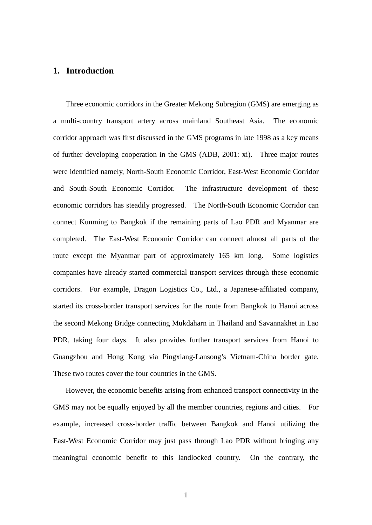## **1. Introduction**

Three economic corridors in the Greater Mekong Subregion (GMS) are emerging as a multi-country transport artery across mainland Southeast Asia. The economic corridor approach was first discussed in the GMS programs in late 1998 as a key means of further developing cooperation in the GMS (ADB, 2001: xi). Three major routes were identified namely, North-South Economic Corridor, East-West Economic Corridor and South-South Economic Corridor. The infrastructure development of these economic corridors has steadily progressed. The North-South Economic Corridor can connect Kunming to Bangkok if the remaining parts of Lao PDR and Myanmar are completed. The East-West Economic Corridor can connect almost all parts of the route except the Myanmar part of approximately 165 km long. Some logistics companies have already started commercial transport services through these economic corridors. For example, Dragon Logistics Co., Ltd., a Japanese-affiliated company, started its cross-border transport services for the route from Bangkok to Hanoi across the second Mekong Bridge connecting Mukdaharn in Thailand and Savannakhet in Lao PDR, taking four days. It also provides further transport services from Hanoi to Guangzhou and Hong Kong via Pingxiang-Lansong's Vietnam-China border gate. These two routes cover the four countries in the GMS.

However, the economic benefits arising from enhanced transport connectivity in the GMS may not be equally enjoyed by all the member countries, regions and cities. For example, increased cross-border traffic between Bangkok and Hanoi utilizing the East-West Economic Corridor may just pass through Lao PDR without bringing any meaningful economic benefit to this landlocked country. On the contrary, the

1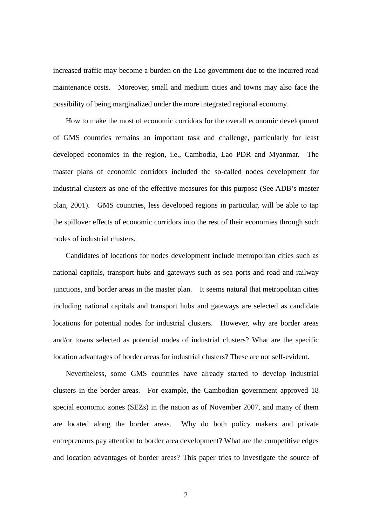increased traffic may become a burden on the Lao government due to the incurred road maintenance costs. Moreover, small and medium cities and towns may also face the possibility of being marginalized under the more integrated regional economy.

How to make the most of economic corridors for the overall economic development of GMS countries remains an important task and challenge, particularly for least developed economies in the region, i.e., Cambodia, Lao PDR and Myanmar. The master plans of economic corridors included the so-called nodes development for industrial clusters as one of the effective measures for this purpose (See ADB's master plan, 2001). GMS countries, less developed regions in particular, will be able to tap the spillover effects of economic corridors into the rest of their economies through such nodes of industrial clusters.

Candidates of locations for nodes development include metropolitan cities such as national capitals, transport hubs and gateways such as sea ports and road and railway junctions, and border areas in the master plan. It seems natural that metropolitan cities including national capitals and transport hubs and gateways are selected as candidate locations for potential nodes for industrial clusters. However, why are border areas and/or towns selected as potential nodes of industrial clusters? What are the specific location advantages of border areas for industrial clusters? These are not self-evident.

Nevertheless, some GMS countries have already started to develop industrial clusters in the border areas. For example, the Cambodian government approved 18 special economic zones (SEZs) in the nation as of November 2007, and many of them are located along the border areas. Why do both policy makers and private entrepreneurs pay attention to border area development? What are the competitive edges and location advantages of border areas? This paper tries to investigate the source of

2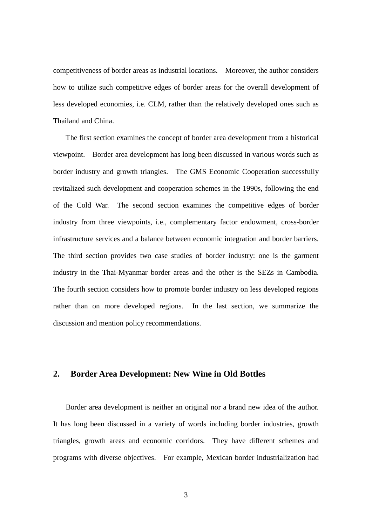competitiveness of border areas as industrial locations. Moreover, the author considers how to utilize such competitive edges of border areas for the overall development of less developed economies, i.e. CLM, rather than the relatively developed ones such as Thailand and China.

The first section examines the concept of border area development from a historical viewpoint. Border area development has long been discussed in various words such as border industry and growth triangles. The GMS Economic Cooperation successfully revitalized such development and cooperation schemes in the 1990s, following the end of the Cold War. The second section examines the competitive edges of border industry from three viewpoints, i.e., complementary factor endowment, cross-border infrastructure services and a balance between economic integration and border barriers. The third section provides two case studies of border industry: one is the garment industry in the Thai-Myanmar border areas and the other is the SEZs in Cambodia. The fourth section considers how to promote border industry on less developed regions rather than on more developed regions. In the last section, we summarize the discussion and mention policy recommendations.

## **2. Border Area Development: New Wine in Old Bottles**

Border area development is neither an original nor a brand new idea of the author. It has long been discussed in a variety of words including border industries, growth triangles, growth areas and economic corridors. They have different schemes and programs with diverse objectives. For example, Mexican border industrialization had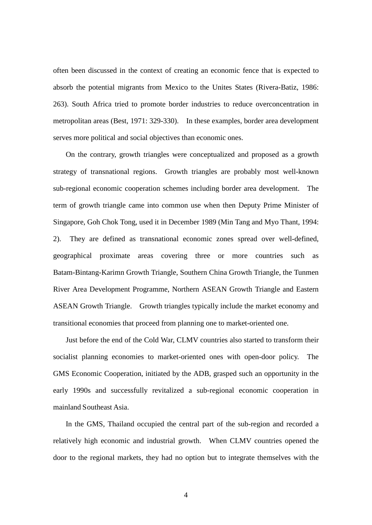often been discussed in the context of creating an economic fence that is expected to absorb the potential migrants from Mexico to the Unites States (Rivera-Batiz, 1986: 263). South Africa tried to promote border industries to reduce overconcentration in metropolitan areas (Best, 1971: 329-330). In these examples, border area development serves more political and social objectives than economic ones.

On the contrary, growth triangles were conceptualized and proposed as a growth strategy of transnational regions. Growth triangles are probably most well-known sub-regional economic cooperation schemes including border area development. The term of growth triangle came into common use when then Deputy Prime Minister of Singapore, Goh Chok Tong, used it in December 1989 (Min Tang and Myo Thant, 1994: 2). They are defined as transnational economic zones spread over well-defined, geographical proximate areas covering three or more countries such as Batam-Bintang-Karimn Growth Triangle, Southern China Growth Triangle, the Tunmen River Area Development Programme, Northern ASEAN Growth Triangle and Eastern ASEAN Growth Triangle. Growth triangles typically include the market economy and transitional economies that proceed from planning one to market-oriented one.

Just before the end of the Cold War, CLMV countries also started to transform their socialist planning economies to market-oriented ones with open-door policy. The GMS Economic Cooperation, initiated by the ADB, grasped such an opportunity in the early 1990s and successfully revitalized a sub-regional economic cooperation in mainland Southeast Asia.

In the GMS, Thailand occupied the central part of the sub-region and recorded a relatively high economic and industrial growth. When CLMV countries opened the door to the regional markets, they had no option but to integrate themselves with the

4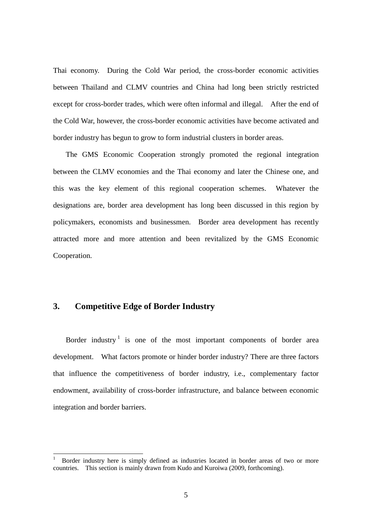Thai economy. During the Cold War period, the cross-border economic activities between Thailand and CLMV countries and China had long been strictly restricted except for cross-border trades, which were often informal and illegal. After the end of the Cold War, however, the cross-border economic activities have become activated and border industry has begun to grow to form industrial clusters in border areas.

The GMS Economic Cooperation strongly promoted the regional integration between the CLMV economies and the Thai economy and later the Chinese one, and this was the key element of this regional cooperation schemes. Whatever the designations are, border area development has long been discussed in this region by policymakers, economists and businessmen. Border area development has recently attracted more and more attention and been revitalized by the GMS Economic Cooperation.

## **3. Competitive Edge of Border Industry**

Border industry  $\frac{1}{1}$  $\frac{1}{1}$  $\frac{1}{1}$  is one of the most important components of border area development. What factors promote or hinder border industry? There are three factors that influence the competitiveness of border industry, i.e., complementary factor endowment, availability of cross-border infrastructure, and balance between economic integration and border barriers.

<span id="page-5-0"></span> $\frac{1}{1}$  Border industry here is simply defined as industries located in border areas of two or more countries. This section is mainly drawn from Kudo and Kuroiwa (2009, forthcoming).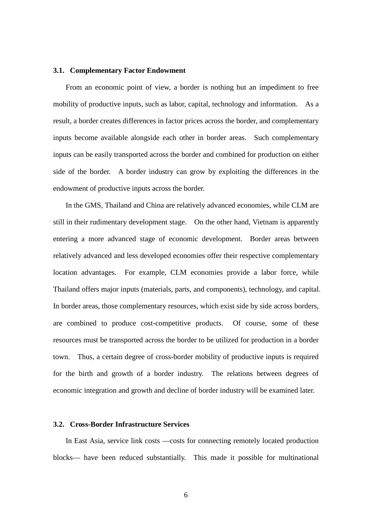#### **3.1. Complementary Factor Endowment**

From an economic point of view, a border is nothing but an impediment to free mobility of productive inputs, such as labor, capital, technology and information. As a result, a border creates differences in factor prices across the border, and complementary inputs become available alongside each other in border areas. Such complementary inputs can be easily transported across the border and combined for production on either side of the border. A border industry can grow by exploiting the differences in the endowment of productive inputs across the border.

In the GMS, Thailand and China are relatively advanced economies, while CLM are still in their rudimentary development stage. On the other hand, Vietnam is apparently entering a more advanced stage of economic development. Border areas between relatively advanced and less developed economies offer their respective complementary location advantages. For example, CLM economies provide a labor force, while Thailand offers major inputs (materials, parts, and components), technology, and capital. In border areas, those complementary resources, which exist side by side across borders, are combined to produce cost-competitive products. Of course, some of these resources must be transported across the border to be utilized for production in a border town. Thus, a certain degree of cross-border mobility of productive inputs is required for the birth and growth of a border industry. The relations between degrees of economic integration and growth and decline of border industry will be examined later.

## **3.2. Cross-Border Infrastructure Services**

In East Asia, service link costs —costs for connecting remotely located production blocks— have been reduced substantially. This made it possible for multinational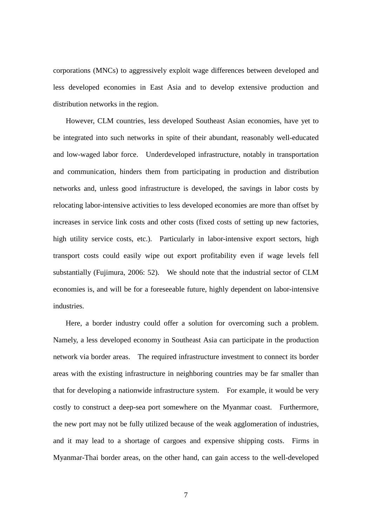corporations (MNCs) to aggressively exploit wage differences between developed and less developed economies in East Asia and to develop extensive production and distribution networks in the region.

However, CLM countries, less developed Southeast Asian economies, have yet to be integrated into such networks in spite of their abundant, reasonably well-educated and low-waged labor force. Underdeveloped infrastructure, notably in transportation and communication, hinders them from participating in production and distribution networks and, unless good infrastructure is developed, the savings in labor costs by relocating labor-intensive activities to less developed economies are more than offset by increases in service link costs and other costs (fixed costs of setting up new factories, high utility service costs, etc.). Particularly in labor-intensive export sectors, high transport costs could easily wipe out export profitability even if wage levels fell substantially (Fujimura, 2006: 52). We should note that the industrial sector of CLM economies is, and will be for a foreseeable future, highly dependent on labor-intensive industries.

Here, a border industry could offer a solution for overcoming such a problem. Namely, a less developed economy in Southeast Asia can participate in the production network via border areas. The required infrastructure investment to connect its border areas with the existing infrastructure in neighboring countries may be far smaller than that for developing a nationwide infrastructure system. For example, it would be very costly to construct a deep-sea port somewhere on the Myanmar coast. Furthermore, the new port may not be fully utilized because of the weak agglomeration of industries, and it may lead to a shortage of cargoes and expensive shipping costs. Firms in Myanmar-Thai border areas, on the other hand, can gain access to the well-developed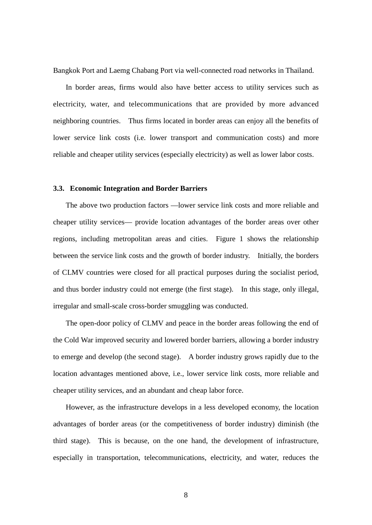Bangkok Port and Laemg Chabang Port via well-connected road networks in Thailand.

In border areas, firms would also have better access to utility services such as electricity, water, and telecommunications that are provided by more advanced neighboring countries. Thus firms located in border areas can enjoy all the benefits of lower service link costs (i.e. lower transport and communication costs) and more reliable and cheaper utility services (especially electricity) as well as lower labor costs.

#### **3.3. Economic Integration and Border Barriers**

The above two production factors —lower service link costs and more reliable and cheaper utility services— provide location advantages of the border areas over other regions, including metropolitan areas and cities. Figure 1 shows the relationship between the service link costs and the growth of border industry. Initially, the borders of CLMV countries were closed for all practical purposes during the socialist period, and thus border industry could not emerge (the first stage). In this stage, only illegal, irregular and small-scale cross-border smuggling was conducted.

The open-door policy of CLMV and peace in the border areas following the end of the Cold War improved security and lowered border barriers, allowing a border industry to emerge and develop (the second stage). A border industry grows rapidly due to the location advantages mentioned above, i.e., lower service link costs, more reliable and cheaper utility services, and an abundant and cheap labor force.

However, as the infrastructure develops in a less developed economy, the location advantages of border areas (or the competitiveness of border industry) diminish (the third stage). This is because, on the one hand, the development of infrastructure, especially in transportation, telecommunications, electricity, and water, reduces the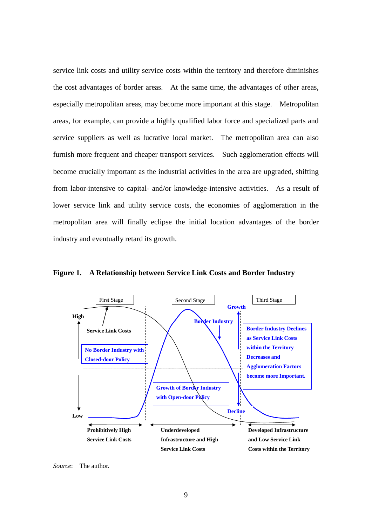service link costs and utility service costs within the territory and therefore diminishes the cost advantages of border areas. At the same time, the advantages of other areas, especially metropolitan areas, may become more important at this stage. Metropolitan areas, for example, can provide a highly qualified labor force and specialized parts and service suppliers as well as lucrative local market. The metropolitan area can also furnish more frequent and cheaper transport services. Such agglomeration effects will become crucially important as the industrial activities in the area are upgraded, shifting from labor-intensive to capital- and/or knowledge-intensive activities. As a result of lower service link and utility service costs, the economies of agglomeration in the metropolitan area will finally eclipse the initial location advantages of the border industry and eventually retard its growth.

**Figure 1. A Relationship between Service Link Costs and Border Industry**



*Source*: The author.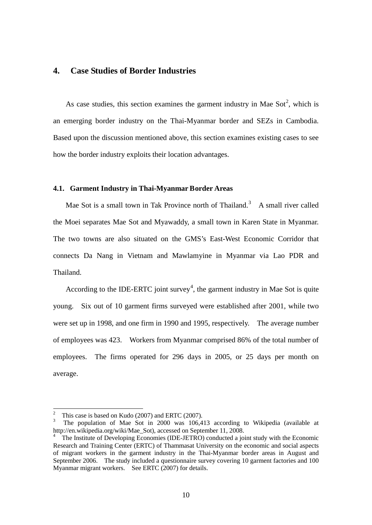## **4. Case Studies of Border Industries**

As case studies, this section examines the garment industry in Mae Sot<sup>[2](#page-10-0)</sup>, which is an emerging border industry on the Thai-Myanmar border and SEZs in Cambodia. Based upon the discussion mentioned above, this section examines existing cases to see how the border industry exploits their location advantages.

#### **4.1. Garment Industry in Thai-Myanmar Border Areas**

Mae Sot is a small town in Tak Province north of Thailand.<sup>[3](#page-10-1)</sup> A small river called the Moei separates Mae Sot and Myawaddy, a small town in Karen State in Myanmar. The two towns are also situated on the GMS's East-West Economic Corridor that connects Da Nang in Vietnam and Mawlamyine in Myanmar via Lao PDR and Thailand.

According to the IDE-ERTC joint survey<sup>[4](#page-10-2)</sup>, the garment industry in Mae Sot is quite young. Six out of 10 garment firms surveyed were established after 2001, while two were set up in 1998, and one firm in 1990 and 1995, respectively. The average number of employees was 423. Workers from Myanmar comprised 86% of the total number of employees. The firms operated for 296 days in 2005, or 25 days per month on average.

<span id="page-10-0"></span>2 This case is based on Kudo (2007) and ERTC (2007).

<span id="page-10-1"></span><sup>3</sup> The population of Mae Sot in 2000 was 106,413 according to Wikipedia (available at http://en.wikipedia.org/wiki/Mae Sot), accessed on September 11, 2008.

<span id="page-10-2"></span><sup>4</sup> The Institute of Developing Economies (IDE-JETRO) conducted a joint study with the Economic Research and Training Center (ERTC) of Thammasat University on the economic and social aspects of migrant workers in the garment industry in the Thai-Myanmar border areas in August and September 2006. The study included a questionnaire survey covering 10 garment factories and 100 Myanmar migrant workers. See ERTC (2007) for details.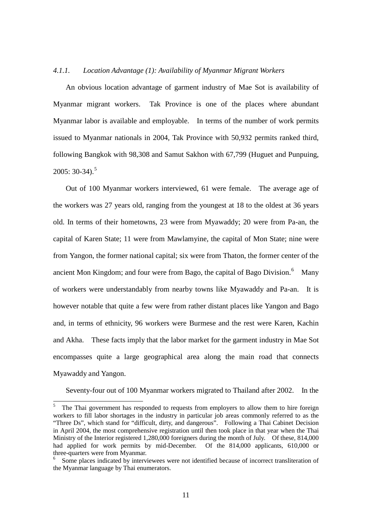#### *4.1.1. Location Advantage (1): Availability of Myanmar Migrant Workers*

An obvious location advantage of garment industry of Mae Sot is availability of Myanmar migrant workers. Tak Province is one of the places where abundant Myanmar labor is available and employable. In terms of the number of work permits issued to Myanmar nationals in 2004, Tak Province with 50,932 permits ranked third, following Bangkok with 98,308 and Samut Sakhon with 67,799 (Huguet and Punpuing,  $2005:30-34$  $2005:30-34$  $2005:30-34$ .<sup>5</sup>

Out of 100 Myanmar workers interviewed, 61 were female. The average age of the workers was 27 years old, ranging from the youngest at 18 to the oldest at 36 years old. In terms of their hometowns, 23 were from Myawaddy; 20 were from Pa-an, the capital of Karen State; 11 were from Mawlamyine, the capital of Mon State; nine were from Yangon, the former national capital; six were from Thaton, the former center of the ancient Mon Kingdom; and four were from Bago, the capital of Bago Division.<sup>[6](#page-11-1)</sup> Many of workers were understandably from nearby towns like Myawaddy and Pa-an. It is however notable that quite a few were from rather distant places like Yangon and Bago and, in terms of ethnicity, 96 workers were Burmese and the rest were Karen, Kachin and Akha. These facts imply that the labor market for the garment industry in Mae Sot encompasses quite a large geographical area along the main road that connects Myawaddy and Yangon.

Seventy-four out of 100 Myanmar workers migrated to Thailand after 2002. In the

<span id="page-11-0"></span> $\frac{1}{5}$  The Thai government has responded to requests from employers to allow them to hire foreign workers to fill labor shortages in the industry in particular job areas commonly referred to as the "Three Ds", which stand for "difficult, dirty, and dangerous". Following a Thai Cabinet Decision in April 2004, the most comprehensive registration until then took place in that year when the Thai Ministry of the Interior registered 1,280,000 foreigners during the month of July. Of these, 814,000 had applied for work permits by mid-December. Of the 814,000 applicants, 610,000 or three-quarters were from Myanmar.

<span id="page-11-1"></span><sup>6</sup> Some places indicated by interviewees were not identified because of incorrect transliteration of the Myanmar language by Thai enumerators.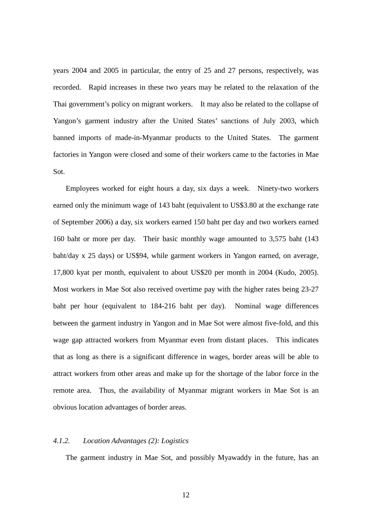years 2004 and 2005 in particular, the entry of 25 and 27 persons, respectively, was recorded. Rapid increases in these two years may be related to the relaxation of the Thai government's policy on migrant workers. It may also be related to the collapse of Yangon's garment industry after the United States' sanctions of July 2003, which banned imports of made-in-Myanmar products to the United States. The garment factories in Yangon were closed and some of their workers came to the factories in Mae Sot.

Employees worked for eight hours a day, six days a week. Ninety-two workers earned only the minimum wage of 143 baht (equivalent to US\$3.80 at the exchange rate of September 2006) a day, six workers earned 150 baht per day and two workers earned 160 baht or more per day. Their basic monthly wage amounted to 3,575 baht (143 baht/day x 25 days) or US\$94, while garment workers in Yangon earned, on average, 17,800 kyat per month, equivalent to about US\$20 per month in 2004 (Kudo, 2005). Most workers in Mae Sot also received overtime pay with the higher rates being 23-27 baht per hour (equivalent to 184-216 baht per day). Nominal wage differences between the garment industry in Yangon and in Mae Sot were almost five-fold, and this wage gap attracted workers from Myanmar even from distant places. This indicates that as long as there is a significant difference in wages, border areas will be able to attract workers from other areas and make up for the shortage of the labor force in the remote area. Thus, the availability of Myanmar migrant workers in Mae Sot is an obvious location advantages of border areas.

## *4.1.2. Location Advantages (2): Logistics*

The garment industry in Mae Sot, and possibly Myawaddy in the future, has an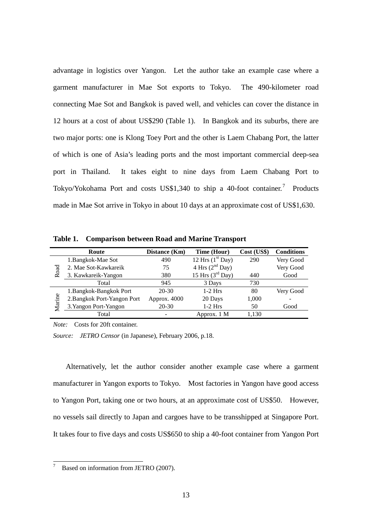advantage in logistics over Yangon. Let the author take an example case where a garment manufacturer in Mae Sot exports to Tokyo. The 490-kilometer road connecting Mae Sot and Bangkok is paved well, and vehicles can cover the distance in 12 hours at a cost of about US\$290 (Table 1). In Bangkok and its suburbs, there are two major ports: one is Klong Toey Port and the other is Laem Chabang Port, the latter of which is one of Asia's leading ports and the most important commercial deep-sea port in Thailand. It takes eight to nine days from Laem Chabang Port to Tokyo/Yokohama Port and costs US\$1,340 to ship a 40-foot container.<sup>[7](#page-13-0)</sup> Products made in Mae Sot arrive in Tokyo in about 10 days at an approximate cost of US\$1,630.

| $\sim$ 0.444 $\sim$ 0.44 $\sim$ 0.44 $\cdot$ 0.444 $\sim$ 0.444 $\sim$ 4444 $\sim$ 4444 $\sim$ 4444 $\sim$ 6444 $\sim$ 6444 $\sim$ |                             |                          |                    |             |                   |  |
|------------------------------------------------------------------------------------------------------------------------------------|-----------------------------|--------------------------|--------------------|-------------|-------------------|--|
|                                                                                                                                    | Route                       | Distance (Km)            | Time (Hour)        | Cost (US\$) | <b>Conditions</b> |  |
| Road                                                                                                                               | 1. Bangkok-Mae Sot          | 490                      | 12 Hrs $(1st$ Day) | 290         | Very Good         |  |
|                                                                                                                                    | 2. Mae Sot-Kawkareik        | 75                       | 4 Hrs $(2nd$ Day)  |             | Very Good         |  |
|                                                                                                                                    | 3. Kawkareik-Yangon         | 380                      | 15 Hrs $(3rd$ Day) | 440         | Good              |  |
|                                                                                                                                    | Total                       | 945                      | 3 Days             | 730         |                   |  |
| Marine                                                                                                                             | 1. Bangkok-Bangkok Port     | 20-30                    | $1-2$ Hrs          | 80          | Very Good         |  |
|                                                                                                                                    | 2. Bangkok Port-Yangon Port | Approx. 4000             | 20 Days            | 1,000       |                   |  |
|                                                                                                                                    | 3. Yangon Port-Yangon       | $20-30$                  | $1-2$ Hrs          | 50          | Good              |  |
|                                                                                                                                    | Total                       | $\overline{\phantom{0}}$ | Approx. 1 M        | 1,130       |                   |  |

**Table 1. Comparison between Road and Marine Transport**

*Note:* Costs for 20ft container.

*Source: JETRO Censor* (in Japanese), February 2006, p.18.

Alternatively, let the author consider another example case where a garment manufacturer in Yangon exports to Tokyo. Most factories in Yangon have good access to Yangon Port, taking one or two hours, at an approximate cost of US\$50. However, no vessels sail directly to Japan and cargoes have to be transshipped at Singapore Port. It takes four to five days and costs US\$650 to ship a 40-foot container from Yangon Port

<span id="page-13-0"></span><sup>–&</sup>lt;br>7 Based on information from JETRO (2007).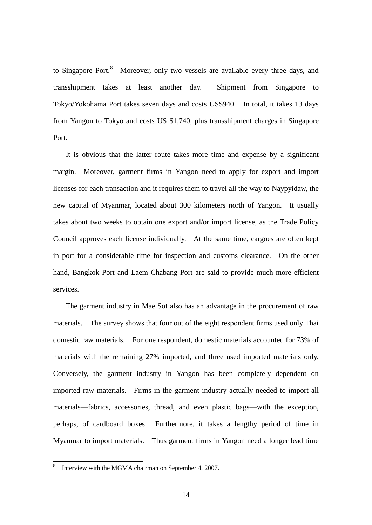to Singapore Port.<sup>[8](#page-14-0)</sup> Moreover, only two vessels are available every three days, and transshipment takes at least another day. Shipment from Singapore to Tokyo/Yokohama Port takes seven days and costs US\$940. In total, it takes 13 days from Yangon to Tokyo and costs US \$1,740, plus transshipment charges in Singapore Port.

It is obvious that the latter route takes more time and expense by a significant margin. Moreover, garment firms in Yangon need to apply for export and import licenses for each transaction and it requires them to travel all the way to Naypyidaw, the new capital of Myanmar, located about 300 kilometers north of Yangon. It usually takes about two weeks to obtain one export and/or import license, as the Trade Policy Council approves each license individually. At the same time, cargoes are often kept in port for a considerable time for inspection and customs clearance. On the other hand, Bangkok Port and Laem Chabang Port are said to provide much more efficient services.

The garment industry in Mae Sot also has an advantage in the procurement of raw materials. The survey shows that four out of the eight respondent firms used only Thai domestic raw materials. For one respondent, domestic materials accounted for 73% of materials with the remaining 27% imported, and three used imported materials only. Conversely, the garment industry in Yangon has been completely dependent on imported raw materials. Firms in the garment industry actually needed to import all materials—fabrics, accessories, thread, and even plastic bags—with the exception, perhaps, of cardboard boxes. Furthermore, it takes a lengthy period of time in Myanmar to import materials. Thus garment firms in Yangon need a longer lead time

<span id="page-14-0"></span> $\frac{1}{8}$ Interview with the MGMA chairman on September 4, 2007.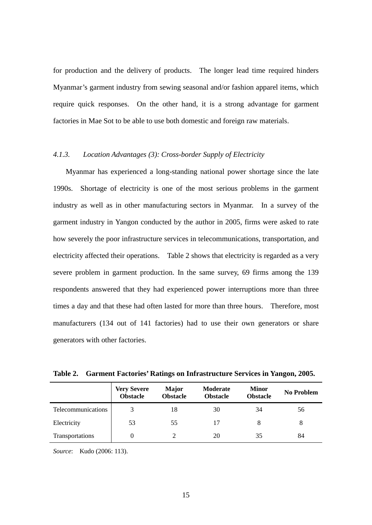for production and the delivery of products. The longer lead time required hinders Myanmar's garment industry from sewing seasonal and/or fashion apparel items, which require quick responses. On the other hand, it is a strong advantage for garment factories in Mae Sot to be able to use both domestic and foreign raw materials.

## *4.1.3. Location Advantages (3): Cross-border Supply of Electricity*

Myanmar has experienced a long-standing national power shortage since the late 1990s. Shortage of electricity is one of the most serious problems in the garment industry as well as in other manufacturing sectors in Myanmar. In a survey of the garment industry in Yangon conducted by the author in 2005, firms were asked to rate how severely the poor infrastructure services in telecommunications, transportation, and electricity affected their operations. Table 2 shows that electricity is regarded as a very severe problem in garment production. In the same survey, 69 firms among the 139 respondents answered that they had experienced power interruptions more than three times a day and that these had often lasted for more than three hours. Therefore, most manufacturers (134 out of 141 factories) had to use their own generators or share generators with other factories.

|                    | <b>Very Severe</b><br><b>Obstacle</b> | Major<br><b>Obstacle</b> | <b>Moderate</b><br><b>Obstacle</b> | <b>Minor</b><br><b>Obstacle</b> | No Problem |
|--------------------|---------------------------------------|--------------------------|------------------------------------|---------------------------------|------------|
| Telecommunications | 3                                     | 18                       | 30                                 | 34                              | 56         |
| Electricity        | 53                                    | 55                       | 17                                 | 8                               | 8          |
| Transportations    | 0                                     |                          | 20                                 | 35                              | 84         |

**Table 2. Garment Factories' Ratings on Infrastructure Services in Yangon, 2005.**

*Source*: Kudo (2006: 113).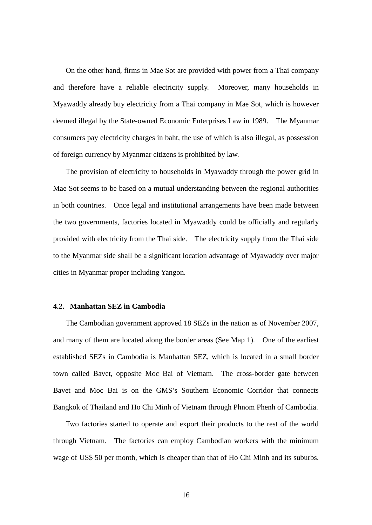On the other hand, firms in Mae Sot are provided with power from a Thai company and therefore have a reliable electricity supply. Moreover, many households in Myawaddy already buy electricity from a Thai company in Mae Sot, which is however deemed illegal by the State-owned Economic Enterprises Law in 1989. The Myanmar consumers pay electricity charges in baht, the use of which is also illegal, as possession of foreign currency by Myanmar citizens is prohibited by law.

The provision of electricity to households in Myawaddy through the power grid in Mae Sot seems to be based on a mutual understanding between the regional authorities in both countries. Once legal and institutional arrangements have been made between the two governments, factories located in Myawaddy could be officially and regularly provided with electricity from the Thai side. The electricity supply from the Thai side to the Myanmar side shall be a significant location advantage of Myawaddy over major cities in Myanmar proper including Yangon.

#### **4.2. Manhattan SEZ in Cambodia**

The Cambodian government approved 18 SEZs in the nation as of November 2007, and many of them are located along the border areas (See Map 1). One of the earliest established SEZs in Cambodia is Manhattan SEZ, which is located in a small border town called Bavet, opposite Moc Bai of Vietnam. The cross-border gate between Bavet and Moc Bai is on the GMS's Southern Economic Corridor that connects Bangkok of Thailand and Ho Chi Minh of Vietnam through Phnom Phenh of Cambodia.

Two factories started to operate and export their products to the rest of the world through Vietnam. The factories can employ Cambodian workers with the minimum wage of US\$ 50 per month, which is cheaper than that of Ho Chi Minh and its suburbs.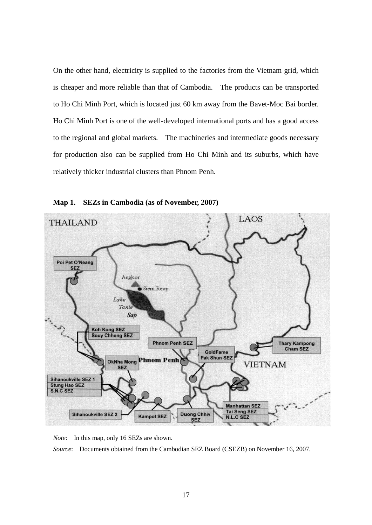On the other hand, electricity is supplied to the factories from the Vietnam grid, which is cheaper and more reliable than that of Cambodia. The products can be transported to Ho Chi Minh Port, which is located just 60 km away from the Bavet-Moc Bai border. Ho Chi Minh Port is one of the well-developed international ports and has a good access to the regional and global markets. The machineries and intermediate goods necessary for production also can be supplied from Ho Chi Minh and its suburbs, which have relatively thicker industrial clusters than Phnom Penh.



**Map 1. SEZs in Cambodia (as of November, 2007)**

*Source*: Documents obtained from the Cambodian SEZ Board (CSEZB) on November 16, 2007.

*Note*: In this map, only 16 SEZs are shown.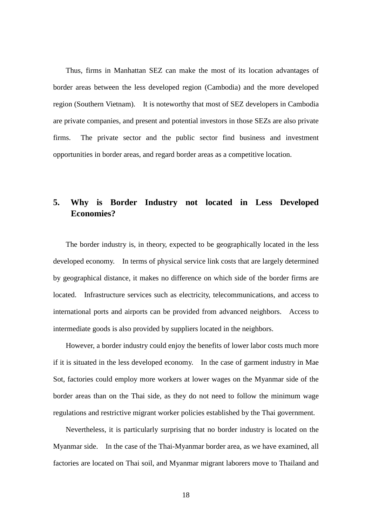Thus, firms in Manhattan SEZ can make the most of its location advantages of border areas between the less developed region (Cambodia) and the more developed region (Southern Vietnam). It is noteworthy that most of SEZ developers in Cambodia are private companies, and present and potential investors in those SEZs are also private firms. The private sector and the public sector find business and investment opportunities in border areas, and regard border areas as a competitive location.

# **5. Why is Border Industry not located in Less Developed Economies?**

The border industry is, in theory, expected to be geographically located in the less developed economy. In terms of physical service link costs that are largely determined by geographical distance, it makes no difference on which side of the border firms are located. Infrastructure services such as electricity, telecommunications, and access to international ports and airports can be provided from advanced neighbors. Access to intermediate goods is also provided by suppliers located in the neighbors.

However, a border industry could enjoy the benefits of lower labor costs much more if it is situated in the less developed economy. In the case of garment industry in Mae Sot, factories could employ more workers at lower wages on the Myanmar side of the border areas than on the Thai side, as they do not need to follow the minimum wage regulations and restrictive migrant worker policies established by the Thai government.

Nevertheless, it is particularly surprising that no border industry is located on the Myanmar side. In the case of the Thai-Myanmar border area, as we have examined, all factories are located on Thai soil, and Myanmar migrant laborers move to Thailand and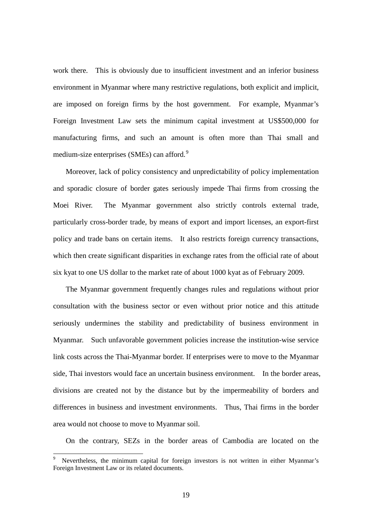work there. This is obviously due to insufficient investment and an inferior business environment in Myanmar where many restrictive regulations, both explicit and implicit, are imposed on foreign firms by the host government. For example, Myanmar's Foreign Investment Law sets the minimum capital investment at US\$500,000 for manufacturing firms, and such an amount is often more than Thai small and medium-size enterprises (SMEs) can afford.<sup>[9](#page-19-0)</sup>

Moreover, lack of policy consistency and unpredictability of policy implementation and sporadic closure of border gates seriously impede Thai firms from crossing the Moei River. The Myanmar government also strictly controls external trade, particularly cross-border trade, by means of export and import licenses, an export-first policy and trade bans on certain items. It also restricts foreign currency transactions, which then create significant disparities in exchange rates from the official rate of about six kyat to one US dollar to the market rate of about 1000 kyat as of February 2009.

The Myanmar government frequently changes rules and regulations without prior consultation with the business sector or even without prior notice and this attitude seriously undermines the stability and predictability of business environment in Myanmar. Such unfavorable government policies increase the institution-wise service link costs across the Thai-Myanmar border. If enterprises were to move to the Myanmar side, Thai investors would face an uncertain business environment. In the border areas, divisions are created not by the distance but by the impermeability of borders and differences in business and investment environments. Thus, Thai firms in the border area would not choose to move to Myanmar soil.

On the contrary, SEZs in the border areas of Cambodia are located on the

<span id="page-19-0"></span><sup>-&</sup>lt;br>9 Nevertheless, the minimum capital for foreign investors is not written in either Myanmar's Foreign Investment Law or its related documents.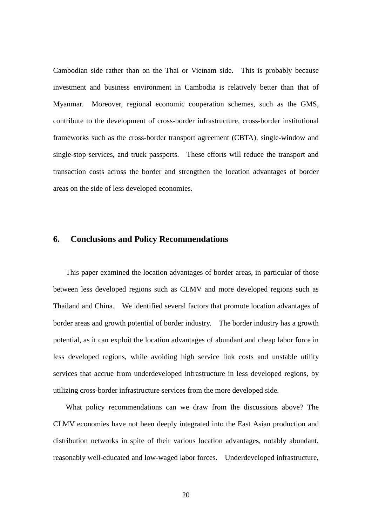Cambodian side rather than on the Thai or Vietnam side. This is probably because investment and business environment in Cambodia is relatively better than that of Myanmar. Moreover, regional economic cooperation schemes, such as the GMS, contribute to the development of cross-border infrastructure, cross-border institutional frameworks such as the cross-border transport agreement (CBTA), single-window and single-stop services, and truck passports. These efforts will reduce the transport and transaction costs across the border and strengthen the location advantages of border areas on the side of less developed economies.

## **6. Conclusions and Policy Recommendations**

This paper examined the location advantages of border areas, in particular of those between less developed regions such as CLMV and more developed regions such as Thailand and China. We identified several factors that promote location advantages of border areas and growth potential of border industry. The border industry has a growth potential, as it can exploit the location advantages of abundant and cheap labor force in less developed regions, while avoiding high service link costs and unstable utility services that accrue from underdeveloped infrastructure in less developed regions, by utilizing cross-border infrastructure services from the more developed side.

What policy recommendations can we draw from the discussions above? The CLMV economies have not been deeply integrated into the East Asian production and distribution networks in spite of their various location advantages, notably abundant, reasonably well-educated and low-waged labor forces. Underdeveloped infrastructure,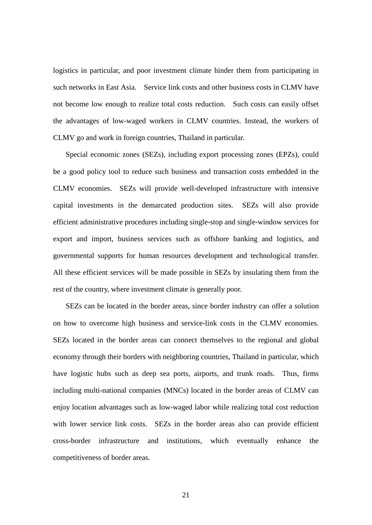logistics in particular, and poor investment climate hinder them from participating in such networks in East Asia. Service link costs and other business costs in CLMV have not become low enough to realize total costs reduction. Such costs can easily offset the advantages of low-waged workers in CLMV countries. Instead, the workers of CLMV go and work in foreign countries, Thailand in particular.

Special economic zones (SEZs), including export processing zones (EPZs), could be a good policy tool to reduce such business and transaction costs embedded in the CLMV economies. SEZs will provide well-developed infrastructure with intensive capital investments in the demarcated production sites. SEZs will also provide efficient administrative procedures including single-stop and single-window services for export and import, business services such as offshore banking and logistics, and governmental supports for human resources development and technological transfer. All these efficient services will be made possible in SEZs by insulating them from the rest of the country, where investment climate is generally poor.

SEZs can be located in the border areas, since border industry can offer a solution on how to overcome high business and service-link costs in the CLMV economies. SEZs located in the border areas can connect themselves to the regional and global economy through their borders with neighboring countries, Thailand in particular, which have logistic hubs such as deep sea ports, airports, and trunk roads. Thus, firms including multi-national companies (MNCs) located in the border areas of CLMV can enjoy location advantages such as low-waged labor while realizing total cost reduction with lower service link costs. SEZs in the border areas also can provide efficient cross-border infrastructure and institutions, which eventually enhance the competitiveness of border areas.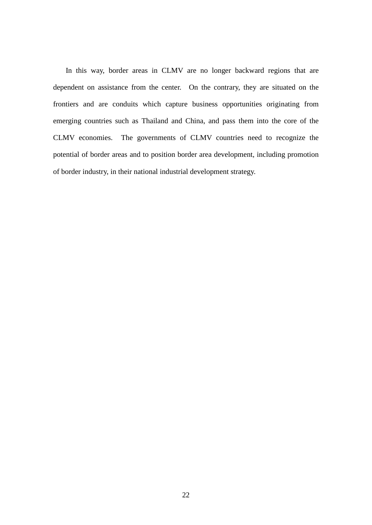In this way, border areas in CLMV are no longer backward regions that are dependent on assistance from the center. On the contrary, they are situated on the frontiers and are conduits which capture business opportunities originating from emerging countries such as Thailand and China, and pass them into the core of the CLMV economies. The governments of CLMV countries need to recognize the potential of border areas and to position border area development, including promotion of border industry, in their national industrial development strategy.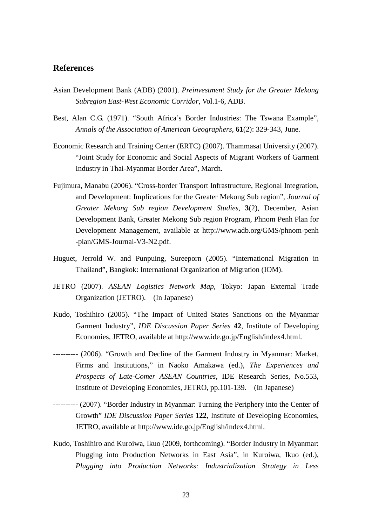## **References**

- Asian Development Bank (ADB) (2001). *Preinvestment Study for the Greater Mekong Subregion East-West Economic Corridor*, Vol.1-6, ADB.
- Best, Alan C.G. (1971). "South Africa's Border Industries: The Tswana Example", *Annals of the Association of American Geographers*, **61**(2): 329-343, June.
- Economic Research and Training Center (ERTC) (2007). Thammasat University (2007). "Joint Study for Economic and Social Aspects of Migrant Workers of Garment Industry in Thai-Myanmar Border Area", March.
- Fujimura, Manabu (2006). "Cross-border Transport Infrastructure, Regional Integration, and Development: Implications for the Greater Mekong Sub region", *Journal of Greater Mekong Sub region Development Studies*, **3**(2), December, Asian Development Bank, Greater Mekong Sub region Program, Phnom Penh Plan for Development Management, available at http://www.adb.org/GMS/phnom-penh -plan/GMS-Journal-V3-N2.pdf.
- Huguet, Jerrold W. and Punpuing, Sureeporn (2005). "International Migration in Thailand", Bangkok: International Organization of Migration (IOM).
- JETRO (2007). *ASEAN Logistics Network Map*, Tokyo: Japan External Trade Organization (JETRO). (In Japanese)
- Kudo, Toshihiro (2005). "The Impact of United States Sanctions on the Myanmar Garment Industry", *IDE Discussion Paper Series* **42**, Institute of Developing Economies, JETRO, available at http://www.ide.go.jp/English/index4.html.
- ---------- (2006). "Growth and Decline of the Garment Industry in Myanmar: Market, Firms and Institutions," in Naoko Amakawa (ed.), *The Experiences and Prospects of Late-Comer ASEAN Countries*, IDE Research Series, No.553, Institute of Developing Economies, JETRO, pp.101-139. (In Japanese)
- ---------- (2007). "Border Industry in Myanmar: Turning the Periphery into the Center of Growth" *IDE Discussion Paper Series* **122**, Institute of Developing Economies, JETRO, available at http://www.ide.go.jp/English/index4.html.
- Kudo, Toshihiro and Kuroiwa, Ikuo (2009, forthcoming). "Border Industry in Myanmar: Plugging into Production Networks in East Asia", in Kuroiwa, Ikuo (ed.), *Plugging into Production Networks: Industrialization Strategy in Less*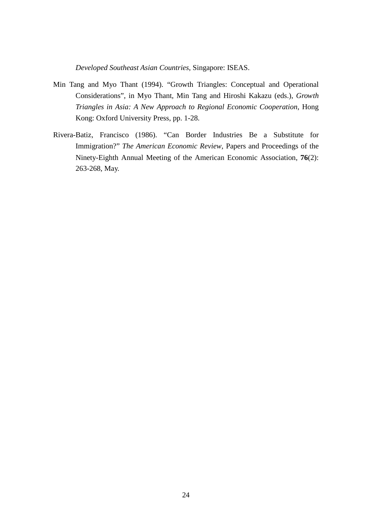*Developed Southeast Asian Countries*, Singapore: ISEAS.

- Min Tang and Myo Thant (1994). "Growth Triangles: Conceptual and Operational Considerations", in Myo Thant, Min Tang and Hiroshi Kakazu (eds.), *Growth Triangles in Asia: A New Approach to Regional Economic Cooperation*, Hong Kong: Oxford University Press, pp. 1-28.
- Rivera-Batiz, Francisco (1986). "Can Border Industries Be a Substitute for Immigration?" *The American Economic Review*, Papers and Proceedings of the Ninety-Eighth Annual Meeting of the American Economic Association, **76**(2): 263-268, May.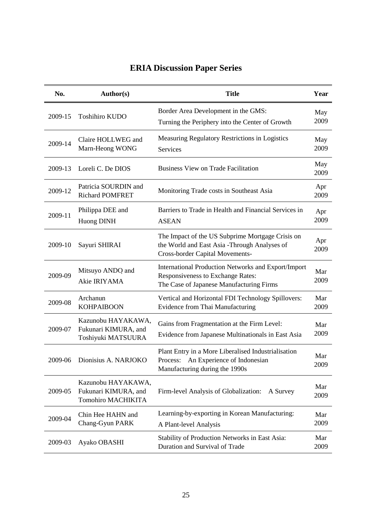| No.     | <b>Author(s)</b>                                                        | <b>Title</b>                                                                                                                               | Year        |
|---------|-------------------------------------------------------------------------|--------------------------------------------------------------------------------------------------------------------------------------------|-------------|
| 2009-15 | <b>Toshihiro KUDO</b>                                                   | Border Area Development in the GMS:<br>Turning the Periphery into the Center of Growth                                                     | May<br>2009 |
| 2009-14 | Claire HOLLWEG and<br>Marn-Heong WONG                                   | Measuring Regulatory Restrictions in Logistics<br>Services                                                                                 | May<br>2009 |
| 2009-13 | Loreli C. De DIOS                                                       | <b>Business View on Trade Facilitation</b>                                                                                                 | May<br>2009 |
| 2009-12 | Patricia SOURDIN and<br><b>Richard POMFRET</b>                          | Monitoring Trade costs in Southeast Asia                                                                                                   | Apr<br>2009 |
| 2009-11 | Philippa DEE and<br>Huong DINH                                          | Barriers to Trade in Health and Financial Services in<br><b>ASEAN</b>                                                                      | Apr<br>2009 |
| 2009-10 | Sayuri SHIRAI                                                           | The Impact of the US Subprime Mortgage Crisis on<br>the World and East Asia -Through Analyses of<br><b>Cross-border Capital Movements-</b> | Apr<br>2009 |
| 2009-09 | Mitsuyo ANDO and<br>Akie IRIYAMA                                        | International Production Networks and Export/Import<br>Responsiveness to Exchange Rates:<br>The Case of Japanese Manufacturing Firms       | Mar<br>2009 |
| 2009-08 | Archanun<br><b>KOHPAIBOON</b>                                           | Vertical and Horizontal FDI Technology Spillovers:<br>Evidence from Thai Manufacturing                                                     | Mar<br>2009 |
| 2009-07 | Kazunobu HAYAKAWA,<br>Fukunari KIMURA, and<br>Toshiyuki MATSUURA        | Gains from Fragmentation at the Firm Level:<br>Evidence from Japanese Multinationals in East Asia                                          | Mar<br>2009 |
| 2009-06 | Dionisius A. NARJOKO                                                    | Plant Entry in a More Liberalised Industrialisation<br>An Experience of Indonesian<br>Process:<br>Manufacturing during the 1990s           | Mar<br>2009 |
| 2009-05 | Kazunobu HAYAKAWA,<br>Fukunari KIMURA, and<br><b>Tomohiro MACHIKITA</b> | Firm-level Analysis of Globalization:<br>A Survey                                                                                          | Mar<br>2009 |
| 2009-04 | Chin Hee HAHN and<br>Chang-Gyun PARK                                    | Learning-by-exporting in Korean Manufacturing:<br>A Plant-level Analysis                                                                   | Mar<br>2009 |
| 2009-03 | Ayako OBASHI                                                            | Stability of Production Networks in East Asia:<br>Duration and Survival of Trade                                                           | Mar<br>2009 |

# **ERIA Discussion Paper Series**